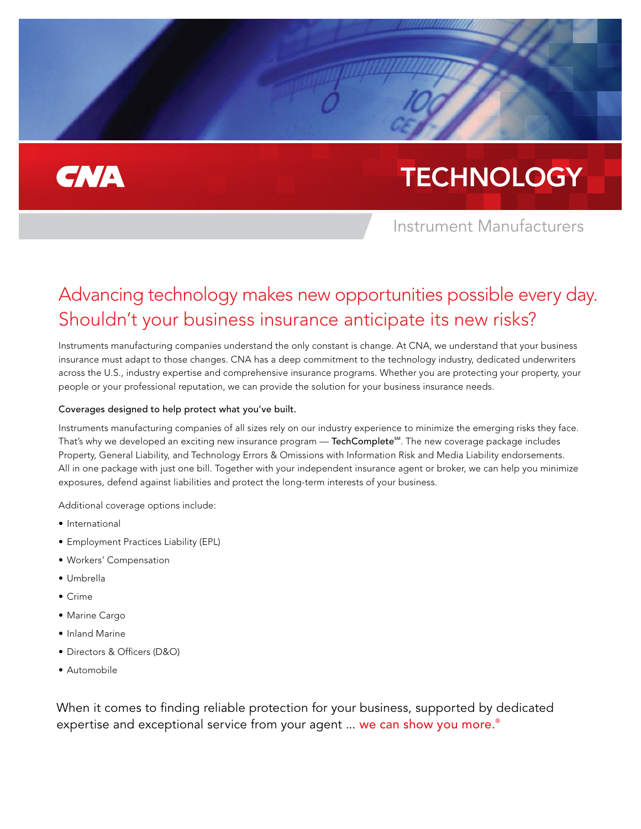## **CNA**

# **TECHNOLOGY**

Instrument Manufacturers

### Advancing technology makes new opportunities possible every day. Shouldn't your business insurance anticipate its new risks?

Instruments manufacturing companies understand the only constant is change. At CNA, we understand that your business insurance must adapt to those changes. CNA has a deep commitment to the technology industry, dedicated underwriters across the U.S., industry expertise and comprehensive insurance programs. Whether you are protecting your property, your people or your professional reputation, we can provide the solution for your business insurance needs.

#### Coverages designed to help protect what you've built.

Instruments manufacturing companies of all sizes rely on our industry experience to minimize the emerging risks they face. That's why we developed an exciting new insurance program  $-$  TechComplete<sup>SM</sup>. The new coverage package includes Property, General Liability, and Technology Errors & Omissions with Information Risk and Media Liability endorsements. All in one package with just one bill. Together with your independent insurance agent or broker, we can help you minimize exposures, defend against liabilities and protect the long-term interests of your business.

Additional coverage options include:

- International
- Employment Practices Liability (EPL)
- Workers' Compensation
- Umbrella
- Crime
- Marine Cargo
- Inland Marine
- Directors & Officers (D&O)
- Automobile

When it comes to finding reliable protection for your business, supported by dedicated expertise and exceptional service from your agent ... we can show you more.<sup>®</sup>